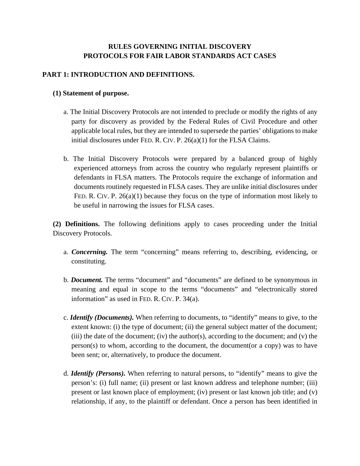# **RULES GOVERNING INITIAL DISCOVERY PROTOCOLS FOR FAIR LABOR STANDARDS ACT CASES**

# **PART 1: INTRODUCTION AND DEFINITIONS.**

### **(1) Statement of purpose.**

- a. The Initial Discovery Protocols are not intended to preclude or modify the rights of any party for discovery as provided by the Federal Rules of Civil Procedure and other applicable local rules, but they are intended to supersede the parties' obligations to make initial disclosures under FED. R. CIV. P. 26(a)(1) for the FLSA Claims.
- b. The Initial Discovery Protocols were prepared by a balanced group of highly experienced attorneys from across the country who regularly represent plaintiffs or defendants in FLSA matters. The Protocols require the exchange of information and documents routinely requested in FLSA cases. They are unlike initial disclosures under FED. R. CIV. P. 26(a)(1) because they focus on the type of information most likely to be useful in narrowing the issues for FLSA cases.

**(2) Definitions.** The following definitions apply to cases proceeding under the Initial Discovery Protocols.

- a. *Concerning.* The term "concerning" means referring to, describing, evidencing, or constituting.
- b. *Document.* The terms "document" and "documents" are defined to be synonymous in meaning and equal in scope to the terms "documents" and "electronically stored information" as used in FED. R. CIV. P. 34(a).
- c. *Identify (Documents).* When referring to documents, to "identify" means to give, to the extent known: (i) the type of document; (ii) the general subject matter of the document; (iii) the date of the document; (iv) the author(s), according to the document; and (v) the person(s) to whom, according to the document, the document(or a copy) was to have been sent; or, alternatively, to produce the document.
- d. *Identify (Persons).* When referring to natural persons, to "identify" means to give the person's: (i) full name; (ii) present or last known address and telephone number; (iii) present or last known place of employment; (iv) present or last known job title; and (v) relationship, if any, to the plaintiff or defendant. Once a person has been identified in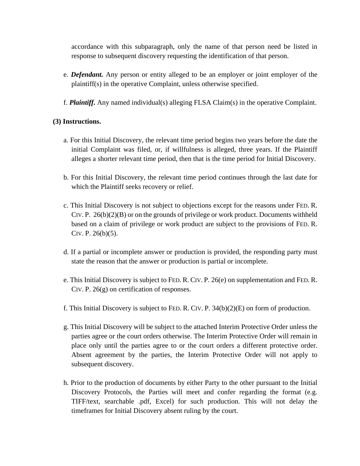accordance with this subparagraph, only the name of that person need be listed in response to subsequent discovery requesting the identification of that person.

- e. *Defendant.* Any person or entity alleged to be an employer or joint employer of the plaintiff(s) in the operative Complaint, unless otherwise specified.
- f. *Plaintiff.* Any named individual(s) alleging FLSA Claim(s) in the operative Complaint.

#### **(3) Instructions.**

- a. For this Initial Discovery, the relevant time period begins two years before the date the initial Complaint was filed, or, if willfulness is alleged, three years. If the Plaintiff alleges a shorter relevant time period, then that is the time period for Initial Discovery.
- b. For this Initial Discovery, the relevant time period continues through the last date for which the Plaintiff seeks recovery or relief.
- c. This Initial Discovery is not subject to objections except for the reasons under FED. R. CIV. P.  $26(b)(2)(B)$  or on the grounds of privilege or work product. Documents withheld based on a claim of privilege or work product are subject to the provisions of FED. R. CIV. P. 26(b)(5).
- d. If a partial or incomplete answer or production is provided, the responding party must state the reason that the answer or production is partial or incomplete.
- e. This Initial Discovery is subject to FED. R. CIV. P. 26(e) on supplementation and FED. R. CIV. P. 26(g) on certification of responses.
- f. This Initial Discovery is subject to FED. R. CIV. P. 34(b)(2)(E) on form of production.
- g. This Initial Discovery will be subject to the attached Interim Protective Order unless the parties agree or the court orders otherwise. The Interim Protective Order will remain in place only until the parties agree to or the court orders a different protective order. Absent agreement by the parties, the Interim Protective Order will not apply to subsequent discovery.
- h. Prior to the production of documents by either Party to the other pursuant to the Initial Discovery Protocols, the Parties will meet and confer regarding the format (e.g. TIFF/text, searchable .pdf, Excel) for such production. This will not delay the timeframes for Initial Discovery absent ruling by the court.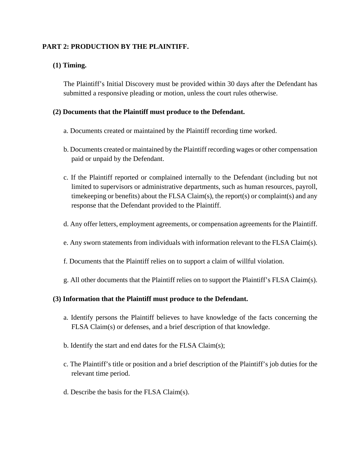# **PART 2: PRODUCTION BY THE PLAINTIFF.**

# **(1) Timing.**

The Plaintiff's Initial Discovery must be provided within 30 days after the Defendant has submitted a responsive pleading or motion, unless the court rules otherwise.

#### **(2) Documents that the Plaintiff must produce to the Defendant.**

- a. Documents created or maintained by the Plaintiff recording time worked.
- b. Documents created or maintained by the Plaintiff recording wages or other compensation paid or unpaid by the Defendant.
- c. If the Plaintiff reported or complained internally to the Defendant (including but not limited to supervisors or administrative departments, such as human resources, payroll, timekeeping or benefits) about the FLSA Claim(s), the report(s) or complaint(s) and any response that the Defendant provided to the Plaintiff.
- d. Any offer letters, employment agreements, or compensation agreements for the Plaintiff.
- e. Any sworn statements from individuals with information relevant to the FLSA Claim(s).
- f. Documents that the Plaintiff relies on to support a claim of willful violation.
- g. All other documents that the Plaintiff relies on to support the Plaintiff's FLSA Claim(s).

#### **(3) Information that the Plaintiff must produce to the Defendant.**

- a. Identify persons the Plaintiff believes to have knowledge of the facts concerning the FLSA Claim(s) or defenses, and a brief description of that knowledge.
- b. Identify the start and end dates for the FLSA Claim(s);
- c. The Plaintiff's title or position and a brief description of the Plaintiff's job duties for the relevant time period.
- d. Describe the basis for the FLSA Claim(s).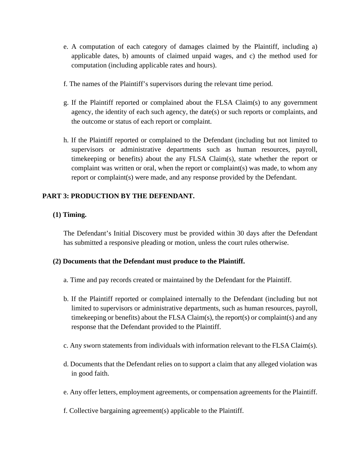- e. A computation of each category of damages claimed by the Plaintiff, including a) applicable dates, b) amounts of claimed unpaid wages, and c) the method used for computation (including applicable rates and hours).
- f. The names of the Plaintiff's supervisors during the relevant time period.
- g. If the Plaintiff reported or complained about the FLSA Claim(s) to any government agency, the identity of each such agency, the date(s) or such reports or complaints, and the outcome or status of each report or complaint.
- h. If the Plaintiff reported or complained to the Defendant (including but not limited to supervisors or administrative departments such as human resources, payroll, timekeeping or benefits) about the any FLSA Claim(s), state whether the report or complaint was written or oral, when the report or complaint(s) was made, to whom any report or complaint(s) were made, and any response provided by the Defendant.

### **PART 3: PRODUCTION BY THE DEFENDANT.**

### **(1) Timing.**

The Defendant's Initial Discovery must be provided within 30 days after the Defendant has submitted a responsive pleading or motion, unless the court rules otherwise.

### **(2) Documents that the Defendant must produce to the Plaintiff.**

- a. Time and pay records created or maintained by the Defendant for the Plaintiff.
- b. If the Plaintiff reported or complained internally to the Defendant (including but not limited to supervisors or administrative departments, such as human resources, payroll, timekeeping or benefits) about the FLSA Claim(s), the report(s) or complaint(s) and any response that the Defendant provided to the Plaintiff.
- c. Any sworn statements from individuals with information relevant to the FLSA Claim(s).
- d. Documents that the Defendant relies on to support a claim that any alleged violation was in good faith.
- e. Any offer letters, employment agreements, or compensation agreements for the Plaintiff.
- f. Collective bargaining agreement(s) applicable to the Plaintiff.